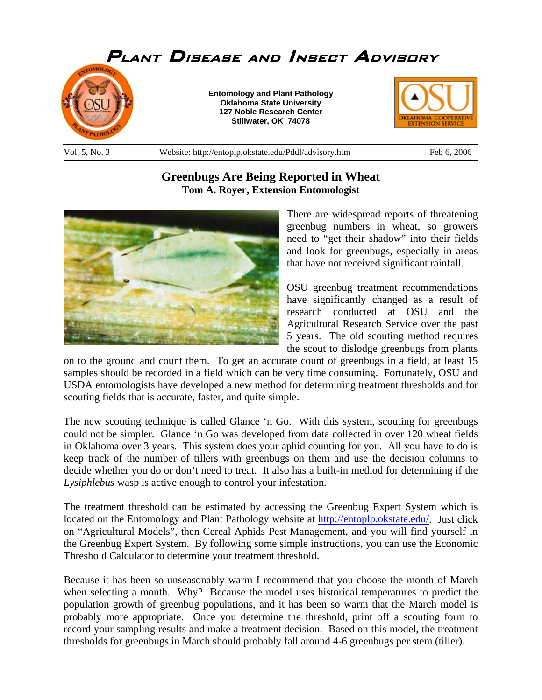

## **Greenbugs Are Being Reported in Wheat Tom A. Royer, Extension Entomologist**



There are widespread reports of threatening greenbug numbers in wheat, so growers need to "get their shadow" into their fields and look for greenbugs, especially in areas that have not received significant rainfall.

OSU greenbug treatment recommendations have significantly changed as a result of research conducted at OSU and the Agricultural Research Service over the past 5 years. The old scouting method requires the scout to dislodge greenbugs from plants

on to the ground and count them. To get an accurate count of greenbugs in a field, at least 15 samples should be recorded in a field which can be very time consuming. Fortunately, OSU and USDA entomologists have developed a new method for determining treatment thresholds and for scouting fields that is accurate, faster, and quite simple.

The new scouting technique is called Glance 'n Go. With this system, scouting for greenbugs could not be simpler. Glance 'n Go was developed from data collected in over 120 wheat fields in Oklahoma over 3 years. This system does your aphid counting for you. All you have to do is keep track of the number of tillers with greenbugs on them and use the decision columns to decide whether you do or don't need to treat. It also has a built-in method for determining if the *Lysiphlebus* wasp is active enough to control your infestation.

The treatment threshold can be estimated by accessing the Greenbug Expert System which is located on the Entomology and Plant Pathology website at http://entoplp.okstate.edu/. Just click on "Agricultural Models", then Cereal Aphids Pest Management, and you will find yourself in the Greenbug Expert System. By following some simple instructions, you can use the Economic Threshold Calculator to determine your treatment threshold.

Because it has been so unseasonably warm I recommend that you choose the month of March when selecting a month. Why? Because the model uses historical temperatures to predict the population growth of greenbug populations, and it has been so warm that the March model is probably more appropriate. Once you determine the threshold, print off a scouting form to record your sampling results and make a treatment decision. Based on this model, the treatment thresholds for greenbugs in March should probably fall around 4-6 greenbugs per stem (tiller).